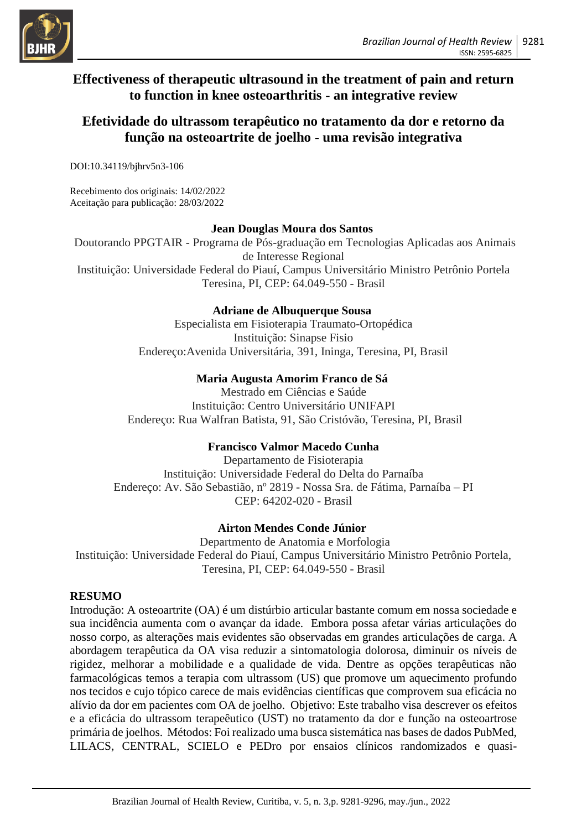

## **Effectiveness of therapeutic ultrasound in the treatment of pain and return to function in knee osteoarthritis - an integrative review**

# **Efetividade do ultrassom terapêutico no tratamento da dor e retorno da função na osteoartrite de joelho - uma revisão integrativa**

DOI:10.34119/bjhrv5n3-106

Recebimento dos originais: 14/02/2022 Aceitação para publicação: 28/03/2022

#### **Jean Douglas Moura dos Santos**

Doutorando PPGTAIR - Programa de Pós-graduação em Tecnologias Aplicadas aos Animais de Interesse Regional Instituição: Universidade Federal do Piauí, Campus Universitário Ministro Petrônio Portela Teresina, PI, CEP: 64.049-550 - Brasil

### **Adriane de Albuquerque Sousa**

Especialista em Fisioterapia Traumato-Ortopédica Instituição: Sinapse Fisio Endereço:Avenida Universitária, 391, Ininga, Teresina, PI, Brasil

### **Maria Augusta Amorim Franco de Sá**

Mestrado em Ciências e Saúde Instituição: Centro Universitário UNIFAPI Endereço: Rua Walfran Batista, 91, São Cristóvão, Teresina, PI, Brasil

### **Francisco Valmor Macedo Cunha**

Departamento de Fisioterapia Instituição: Universidade Federal do Delta do Parnaíba Endereço: Av. São Sebastião, nº 2819 - Nossa Sra. de Fátima, Parnaíba – PI CEP: 64202-020 - Brasil

### **Airton Mendes Conde Júnior**

Departmento de Anatomia e Morfologia Instituição: Universidade Federal do Piauí, Campus Universitário Ministro Petrônio Portela, Teresina, PI, CEP: 64.049-550 - Brasil

#### **RESUMO**

Introdução: A osteoartrite (OA) é um distúrbio articular bastante comum em nossa sociedade e sua incidência aumenta com o avançar da idade. Embora possa afetar várias articulações do nosso corpo, as alterações mais evidentes são observadas em grandes articulações de carga. A abordagem terapêutica da OA visa reduzir a sintomatologia dolorosa, diminuir os níveis de rigidez, melhorar a mobilidade e a qualidade de vida. Dentre as opções terapêuticas não farmacológicas temos a terapia com ultrassom (US) que promove um aquecimento profundo nos tecidos e cujo tópico carece de mais evidências científicas que comprovem sua eficácia no alívio da dor em pacientes com OA de joelho. Objetivo: Este trabalho visa descrever os efeitos e a eficácia do ultrassom terapeêutico (UST) no tratamento da dor e função na osteoartrose primária de joelhos. Métodos: Foi realizado uma busca sistemática nas bases de dados PubMed, LILACS, CENTRAL, SCIELO e PEDro por ensaios clínicos randomizados e quasi-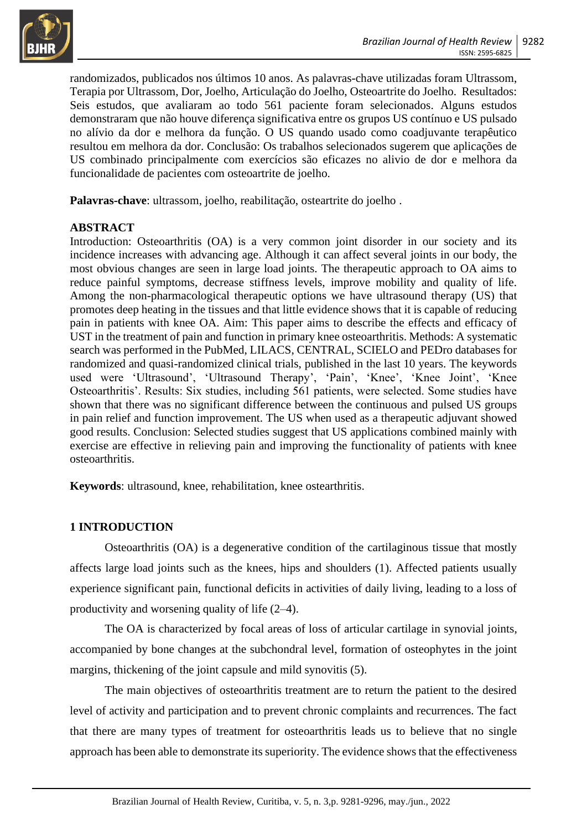

randomizados, publicados nos últimos 10 anos. As palavras-chave utilizadas foram Ultrassom, Terapia por Ultrassom, Dor, Joelho, Articulação do Joelho, Osteoartrite do Joelho. Resultados: Seis estudos, que avaliaram ao todo 561 paciente foram selecionados. Alguns estudos demonstraram que não houve diferença significativa entre os grupos US contínuo e US pulsado no alívio da dor e melhora da função. O US quando usado como coadjuvante terapêutico resultou em melhora da dor. Conclusão: Os trabalhos selecionados sugerem que aplicações de US combinado principalmente com exercícios são eficazes no alivio de dor e melhora da funcionalidade de pacientes com osteoartrite de joelho.

**Palavras-chave**: ultrassom, joelho, reabilitação, osteartrite do joelho .

### **ABSTRACT**

Introduction: Osteoarthritis (OA) is a very common joint disorder in our society and its incidence increases with advancing age. Although it can affect several joints in our body, the most obvious changes are seen in large load joints. The therapeutic approach to OA aims to reduce painful symptoms, decrease stiffness levels, improve mobility and quality of life. Among the non-pharmacological therapeutic options we have ultrasound therapy (US) that promotes deep heating in the tissues and that little evidence shows that it is capable of reducing pain in patients with knee OA. Aim: This paper aims to describe the effects and efficacy of UST in the treatment of pain and function in primary knee osteoarthritis. Methods: A systematic search was performed in the PubMed, LILACS, CENTRAL, SCIELO and PEDro databases for randomized and quasi-randomized clinical trials, published in the last 10 years. The keywords used were 'Ultrasound', 'Ultrasound Therapy', 'Pain', 'Knee', 'Knee Joint', 'Knee Osteoarthritis'. Results: Six studies, including 561 patients, were selected. Some studies have shown that there was no significant difference between the continuous and pulsed US groups in pain relief and function improvement. The US when used as a therapeutic adjuvant showed good results. Conclusion: Selected studies suggest that US applications combined mainly with exercise are effective in relieving pain and improving the functionality of patients with knee osteoarthritis.

**Keywords**: ultrasound, knee, rehabilitation, knee ostearthritis.

### **1 INTRODUCTION**

Osteoarthritis (OA) is a degenerative condition of the cartilaginous tissue that mostly affects large load joints such as the knees, hips and shoulders (1). Affected patients usually experience significant pain, functional deficits in activities of daily living, leading to a loss of productivity and worsening quality of life (2–4).

The OA is characterized by focal areas of loss of articular cartilage in synovial joints, accompanied by bone changes at the subchondral level, formation of osteophytes in the joint margins, thickening of the joint capsule and mild synovitis (5).

The main objectives of osteoarthritis treatment are to return the patient to the desired level of activity and participation and to prevent chronic complaints and recurrences. The fact that there are many types of treatment for osteoarthritis leads us to believe that no single approach has been able to demonstrate its superiority. The evidence shows that the effectiveness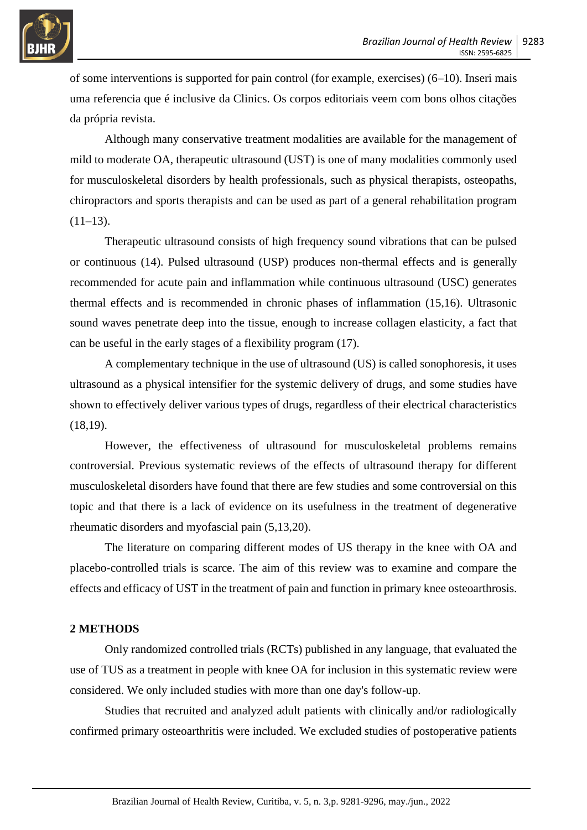

of some interventions is supported for pain control (for example, exercises) (6–10). Inseri mais uma referencia que é inclusive da Clinics. Os corpos editoriais veem com bons olhos citações da própria revista.

Although many conservative treatment modalities are available for the management of mild to moderate OA, therapeutic ultrasound (UST) is one of many modalities commonly used for musculoskeletal disorders by health professionals, such as physical therapists, osteopaths, chiropractors and sports therapists and can be used as part of a general rehabilitation program  $(11-13)$ .

Therapeutic ultrasound consists of high frequency sound vibrations that can be pulsed or continuous (14). Pulsed ultrasound (USP) produces non-thermal effects and is generally recommended for acute pain and inflammation while continuous ultrasound (USC) generates thermal effects and is recommended in chronic phases of inflammation (15,16). Ultrasonic sound waves penetrate deep into the tissue, enough to increase collagen elasticity, a fact that can be useful in the early stages of a flexibility program (17).

A complementary technique in the use of ultrasound (US) is called sonophoresis, it uses ultrasound as a physical intensifier for the systemic delivery of drugs, and some studies have shown to effectively deliver various types of drugs, regardless of their electrical characteristics (18,19).

However, the effectiveness of ultrasound for musculoskeletal problems remains controversial. Previous systematic reviews of the effects of ultrasound therapy for different musculoskeletal disorders have found that there are few studies and some controversial on this topic and that there is a lack of evidence on its usefulness in the treatment of degenerative rheumatic disorders and myofascial pain (5,13,20).

The literature on comparing different modes of US therapy in the knee with OA and placebo-controlled trials is scarce. The aim of this review was to examine and compare the effects and efficacy of UST in the treatment of pain and function in primary knee osteoarthrosis.

#### **2 METHODS**

Only randomized controlled trials (RCTs) published in any language, that evaluated the use of TUS as a treatment in people with knee OA for inclusion in this systematic review were considered. We only included studies with more than one day's follow-up.

Studies that recruited and analyzed adult patients with clinically and/or radiologically confirmed primary osteoarthritis were included. We excluded studies of postoperative patients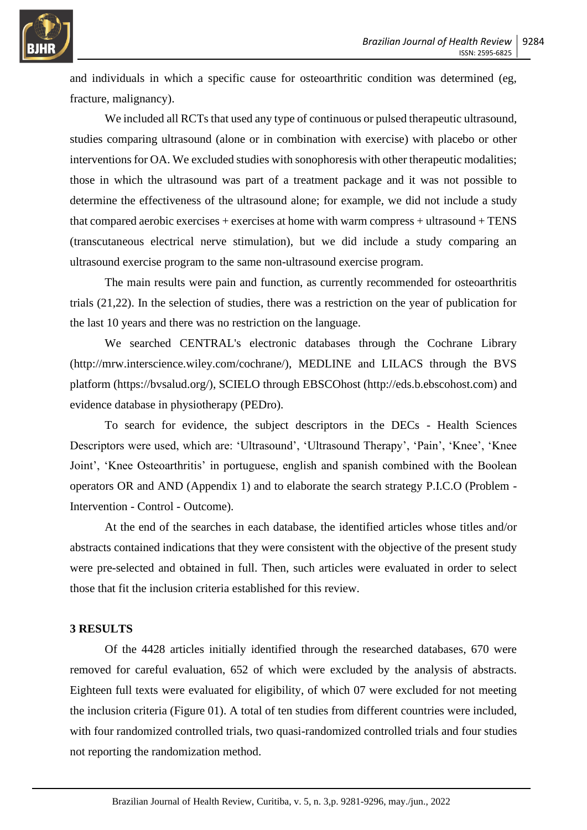

and individuals in which a specific cause for osteoarthritic condition was determined (eg, fracture, malignancy).

We included all RCTs that used any type of continuous or pulsed therapeutic ultrasound, studies comparing ultrasound (alone or in combination with exercise) with placebo or other interventions for OA. We excluded studies with sonophoresis with other therapeutic modalities; those in which the ultrasound was part of a treatment package and it was not possible to determine the effectiveness of the ultrasound alone; for example, we did not include a study that compared aerobic exercises + exercises at home with warm compress + ultrasound + TENS (transcutaneous electrical nerve stimulation), but we did include a study comparing an ultrasound exercise program to the same non-ultrasound exercise program.

The main results were pain and function, as currently recommended for osteoarthritis trials (21,22). In the selection of studies, there was a restriction on the year of publication for the last 10 years and there was no restriction on the language.

We searched CENTRAL's electronic databases through the Cochrane Library (http://mrw.interscience.wiley.com/cochrane/), MEDLINE and LILACS through the BVS platform (https://bvsalud.org/), SCIELO through EBSCOhost (http://eds.b.ebscohost.com) and evidence database in physiotherapy (PEDro).

To search for evidence, the subject descriptors in the DECs - Health Sciences Descriptors were used, which are: 'Ultrasound', 'Ultrasound Therapy', 'Pain', 'Knee', 'Knee Joint', 'Knee Osteoarthritis' in portuguese, english and spanish combined with the Boolean operators OR and AND (Appendix 1) and to elaborate the search strategy P.I.C.O (Problem - Intervention - Control - Outcome).

At the end of the searches in each database, the identified articles whose titles and/or abstracts contained indications that they were consistent with the objective of the present study were pre-selected and obtained in full. Then, such articles were evaluated in order to select those that fit the inclusion criteria established for this review.

#### **3 RESULTS**

Of the 4428 articles initially identified through the researched databases, 670 were removed for careful evaluation, 652 of which were excluded by the analysis of abstracts. Eighteen full texts were evaluated for eligibility, of which 07 were excluded for not meeting the inclusion criteria (Figure 01). A total of ten studies from different countries were included, with four randomized controlled trials, two quasi-randomized controlled trials and four studies not reporting the randomization method.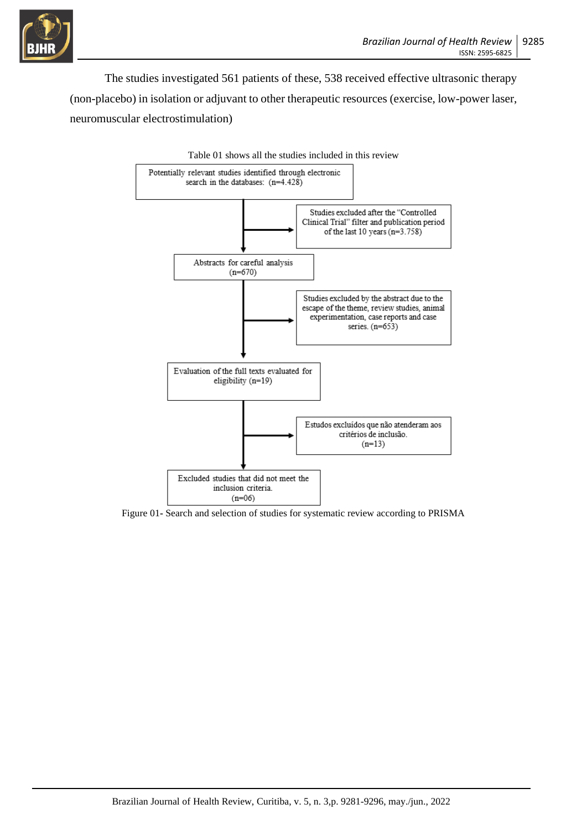

The studies investigated 561 patients of these, 538 received effective ultrasonic therapy (non-placebo) in isolation or adjuvant to other therapeutic resources (exercise, low-power laser, neuromuscular electrostimulation)



Figure 01**-** Search and selection of studies for systematic review according to PRISMA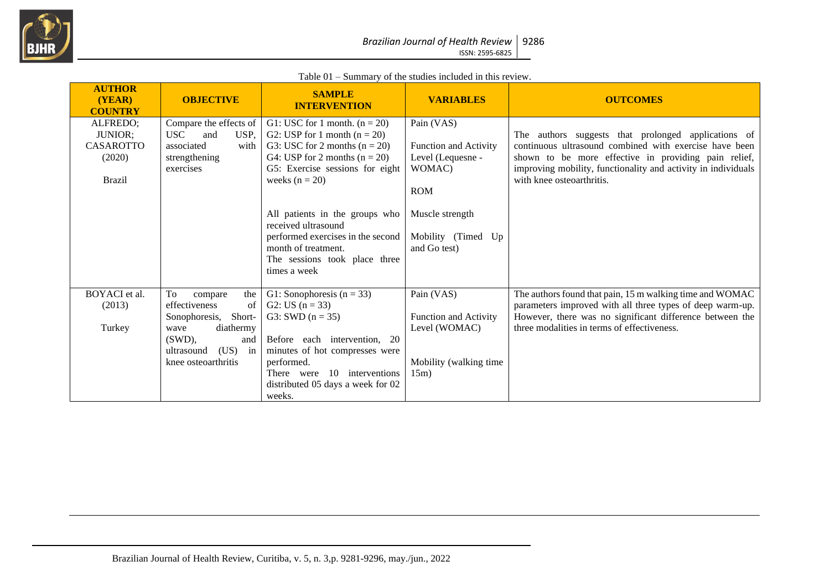

#### Table 01 – Summary of the studies included in this review.

| <b>AUTHOR</b><br>(YEAR)<br><b>COUNTRY</b>                          | <b>OBJECTIVE</b>                                                                                                                                                                | <b>SAMPLE</b><br><b>INTERVENTION</b>                                                                                                                                                           | <b>VARIABLES</b>                                                                                 | <b>OUTCOMES</b>                                                                                                                                                                                                                                                     |
|--------------------------------------------------------------------|---------------------------------------------------------------------------------------------------------------------------------------------------------------------------------|------------------------------------------------------------------------------------------------------------------------------------------------------------------------------------------------|--------------------------------------------------------------------------------------------------|---------------------------------------------------------------------------------------------------------------------------------------------------------------------------------------------------------------------------------------------------------------------|
| ALFREDO:<br>JUNIOR;<br><b>CASAROTTO</b><br>(2020)<br><b>Brazil</b> | Compare the effects of<br><b>USC</b><br>USP,<br>and<br>associated<br>with  <br>strengthening<br>exercises                                                                       | G1: USC for 1 month. $(n = 20)$<br>G2: USP for 1 month $(n = 20)$<br>G3: USC for 2 months $(n = 20)$<br>G4: USP for 2 months $(n = 20)$<br>G5: Exercise sessions for eight<br>weeks $(n = 20)$ | Pain (VAS)<br><b>Function and Activity</b><br>Level (Lequesne -<br>WOMAC)<br><b>ROM</b>          | The authors suggests that prolonged applications of<br>continuous ultrasound combined with exercise have been<br>shown to be more effective in providing pain relief,<br>improving mobility, functionality and activity in individuals<br>with knee osteoarthritis. |
|                                                                    |                                                                                                                                                                                 | All patients in the groups who<br>received ultrasound<br>performed exercises in the second<br>month of treatment.<br>The sessions took place three<br>times a week                             | Muscle strength<br>Mobility (Timed Up<br>and Go test)                                            |                                                                                                                                                                                                                                                                     |
| BOYACI et al.<br>(2013)<br>Turkey                                  | To<br>the<br>compare<br>of<br>effectiveness<br>Short-<br>Sonophoresis,<br>diathermy<br>wave<br>$(SWD)$ .<br>and<br>(US)<br>in <sub>1</sub><br>ultrasound<br>knee osteoarthritis | G1: Sonophoresis $(n = 33)$<br>G2: US $(n = 33)$<br>G3: SWD $(n = 35)$<br>Before each intervention, 20<br>minutes of hot compresses were<br>performed.<br>There were 10 interventions          | Pain (VAS)<br><b>Function and Activity</b><br>Level (WOMAC)<br>Mobility (walking time<br>$15m$ ) | The authors found that pain, 15 m walking time and WOMAC<br>parameters improved with all three types of deep warm-up.<br>However, there was no significant difference between the<br>three modalities in terms of effectiveness.                                    |
|                                                                    |                                                                                                                                                                                 | distributed 05 days a week for 02<br>weeks.                                                                                                                                                    |                                                                                                  |                                                                                                                                                                                                                                                                     |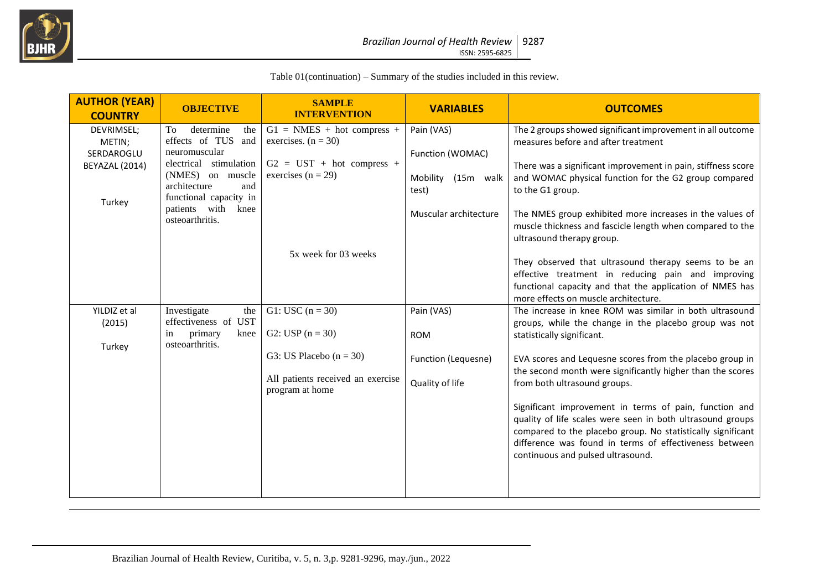

Table 01(continuation) – Summary of the studies included in this review.

| <b>AUTHOR (YEAR)</b><br><b>COUNTRY</b> | <b>OBJECTIVE</b>                                                  | <b>SAMPLE</b><br><b>INTERVENTION</b>                  | <b>VARIABLES</b>               | <b>OUTCOMES</b>                                                                                                                                                                                                                                                                    |
|----------------------------------------|-------------------------------------------------------------------|-------------------------------------------------------|--------------------------------|------------------------------------------------------------------------------------------------------------------------------------------------------------------------------------------------------------------------------------------------------------------------------------|
| DEVRIMSEL;<br>METIN;<br>SERDAROGLU     | determine<br>To<br>the<br>effects of TUS<br>and<br>neuromuscular  | $G1 = NMES + hot compress +$<br>exercises. $(n = 30)$ | Pain (VAS)<br>Function (WOMAC) | The 2 groups showed significant improvement in all outcome<br>measures before and after treatment                                                                                                                                                                                  |
| BEYAZAL (2014)                         | electrical stimulation<br>(NMES) on muscle<br>architecture<br>and | $G2 = UST + hot compress +$<br>exercises ( $n = 29$ ) | Mobility (15m walk<br>test)    | There was a significant improvement in pain, stiffness score<br>and WOMAC physical function for the G2 group compared<br>to the G1 group.                                                                                                                                          |
| Turkey<br>osteoarthritis.              | functional capacity in<br>patients with knee                      |                                                       | Muscular architecture          | The NMES group exhibited more increases in the values of<br>muscle thickness and fascicle length when compared to the                                                                                                                                                              |
|                                        |                                                                   | 5x week for 03 weeks                                  |                                | ultrasound therapy group.<br>They observed that ultrasound therapy seems to be an<br>effective treatment in reducing pain and improving<br>functional capacity and that the application of NMES has<br>more effects on muscle architecture.                                        |
| YILDIZ et al                           | Investigate<br>the                                                | G1: USC $(n = 30)$                                    | Pain (VAS)                     | The increase in knee ROM was similar in both ultrasound                                                                                                                                                                                                                            |
| (2015)                                 | effectiveness of UST<br>primary<br>knee<br>in<br>osteoarthritis.  | G2: USP $(n = 30)$                                    | <b>ROM</b>                     | groups, while the change in the placebo group was not<br>statistically significant.                                                                                                                                                                                                |
| Turkey                                 |                                                                   | G3: US Placebo $(n = 30)$                             | Function (Lequesne)            | EVA scores and Lequesne scores from the placebo group in<br>the second month were significantly higher than the scores                                                                                                                                                             |
|                                        |                                                                   | All patients received an exercise<br>program at home  | Quality of life                | from both ultrasound groups.                                                                                                                                                                                                                                                       |
|                                        |                                                                   |                                                       |                                | Significant improvement in terms of pain, function and<br>quality of life scales were seen in both ultrasound groups<br>compared to the placebo group. No statistically significant<br>difference was found in terms of effectiveness between<br>continuous and pulsed ultrasound. |
|                                        |                                                                   |                                                       |                                |                                                                                                                                                                                                                                                                                    |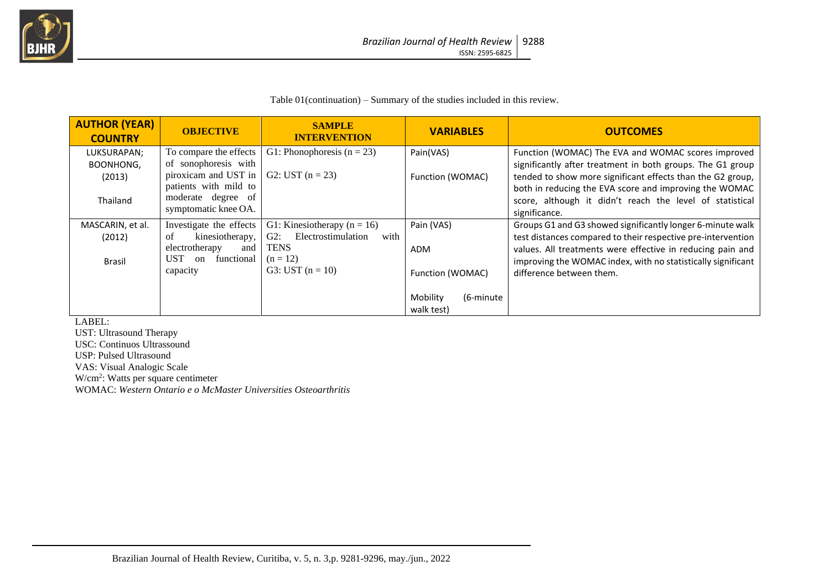

Table 01(continuation) – Summary of the studies included in this review.

| <b>AUTHOR (YEAR)</b><br><b>COUNTRY</b>                | <b>OBJECTIVE</b>                                                                                                                              | <b>SAMPLE</b><br><b>INTERVENTION</b>                                                                                       | <b>VARIABLES</b>                      | <b>OUTCOMES</b>                                                                                                                                                                                                                                                                                                       |
|-------------------------------------------------------|-----------------------------------------------------------------------------------------------------------------------------------------------|----------------------------------------------------------------------------------------------------------------------------|---------------------------------------|-----------------------------------------------------------------------------------------------------------------------------------------------------------------------------------------------------------------------------------------------------------------------------------------------------------------------|
| LUKSURAPAN;<br><b>BOONHONG,</b><br>(2013)<br>Thailand | To compare the effects<br>of sonophoresis with<br>piroxicam and UST in<br>patients with mild to<br>moderate degree of<br>symptomatic knee OA. | G1: Phonophoresis $(n = 23)$<br>G2: UST $(n = 23)$                                                                         | Pain(VAS)<br>Function (WOMAC)         | Function (WOMAC) The EVA and WOMAC scores improved<br>significantly after treatment in both groups. The G1 group<br>tended to show more significant effects than the G2 group,<br>both in reducing the EVA score and improving the WOMAC<br>score, although it didn't reach the level of statistical<br>significance. |
| MASCARIN, et al.<br>(2012)<br><b>Brasil</b>           | Investigate the effects<br>kinesiotherapy,<br>οf<br>electrotherapy<br>and<br><b>UST</b><br>functional<br>on<br>capacity                       | G1: Kinesiotherapy ( $n = 16$ )<br>Electrostimulation<br>$G2$ :<br>with<br><b>TENS</b><br>$(n = 12)$<br>G3: UST $(n = 10)$ | Pain (VAS)<br>ADM<br>Function (WOMAC) | Groups G1 and G3 showed significantly longer 6-minute walk<br>test distances compared to their respective pre-intervention<br>values. All treatments were effective in reducing pain and<br>improving the WOMAC index, with no statistically significant<br>difference between them.                                  |
|                                                       |                                                                                                                                               |                                                                                                                            | Mobility<br>(6-minute)<br>walk test)  |                                                                                                                                                                                                                                                                                                                       |

LABEL:

UST: Ultrasound Therapy USC: Continuos Ultrassound USP: Pulsed Ultrasound VAS: Visual Analogic Scale W/cm<sup>2</sup> : Watts per square centimeter WOMAC: *Western Ontario e o McMaster Universities Osteoarthritis*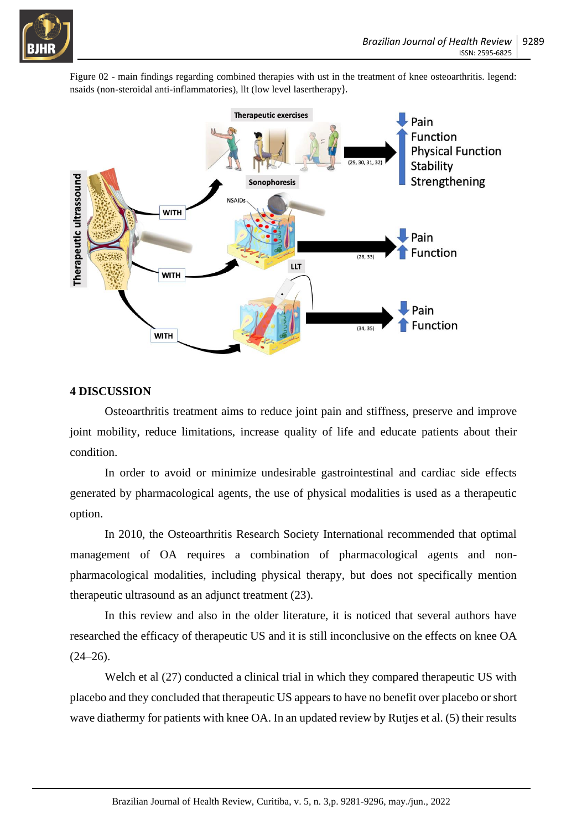

Figure 02 - main findings regarding combined therapies with ust in the treatment of knee osteoarthritis. legend: nsaids (non-steroidal anti-inflammatories), llt (low level lasertherapy).



### **4 DISCUSSION**

Osteoarthritis treatment aims to reduce joint pain and stiffness, preserve and improve joint mobility, reduce limitations, increase quality of life and educate patients about their condition.

In order to avoid or minimize undesirable gastrointestinal and cardiac side effects generated by pharmacological agents, the use of physical modalities is used as a therapeutic option.

In 2010, the Osteoarthritis Research Society International recommended that optimal management of OA requires a combination of pharmacological agents and nonpharmacological modalities, including physical therapy, but does not specifically mention therapeutic ultrasound as an adjunct treatment (23).

In this review and also in the older literature, it is noticed that several authors have researched the efficacy of therapeutic US and it is still inconclusive on the effects on knee OA  $(24-26)$ .

Welch et al  $(27)$  conducted a clinical trial in which they compared therapeutic US with placebo and they concluded that therapeutic US appears to have no benefit over placebo or short wave diathermy for patients with knee OA. In an updated review by Rutjes et al. (5) their results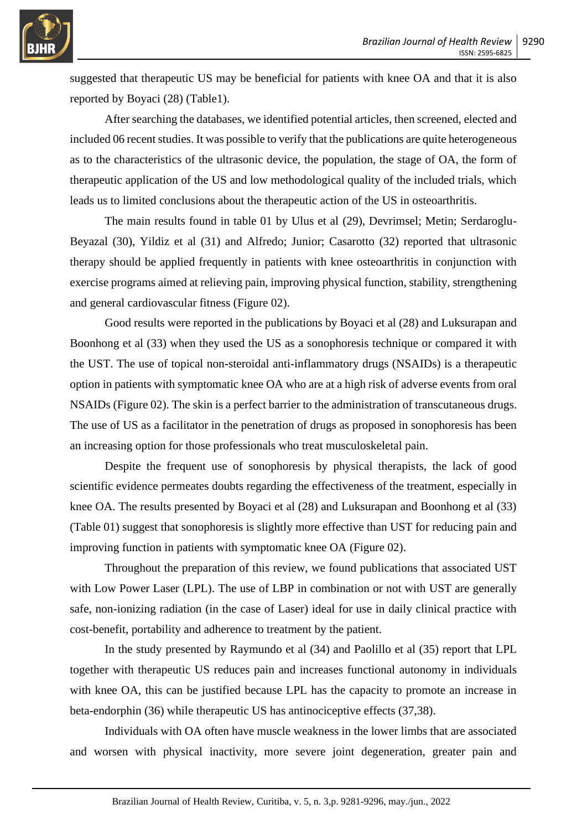

suggested that therapeutic US may be beneficial for patients with knee OA and that it is also reported by Boyaci (28) (Table1).

After searching the databases, we identified potential articles, then screened, elected and included 06 recent studies. It was possible to verify that the publications are quite heterogeneous as to the characteristics of the ultrasonic device, the population, the stage of OA, the form of therapeutic application of the US and low methodological quality of the included trials, which leads us to limited conclusions about the therapeutic action of the US in osteoarthritis.

The main results found in table 01 by Ulus et al (29), Devrimsel; Metin; Serdaroglu-Beyazal (30), Yildiz et al (31) and Alfredo; Junior; Casarotto (32) reported that ultrasonic therapy should be applied frequently in patients with knee osteoarthritis in conjunction with exercise programs aimed at relieving pain, improving physical function, stability, strengthening and general cardiovascular fitness (Figure 02).

Good results were reported in the publications by Boyaci et al (28) and Luksurapan and Boonhong et al (33) when they used the US as a sonophoresis technique or compared it with the UST. The use of topical non-steroidal anti-inflammatory drugs (NSAIDs) is a therapeutic option in patients with symptomatic knee OA who are at a high risk of adverse events from oral NSAIDs (Figure 02). The skin is a perfect barrier to the administration of transcutaneous drugs. The use of US as a facilitator in the penetration of drugs as proposed in sonophoresis has been an increasing option for those professionals who treat musculoskeletal pain.

Despite the frequent use of sonophoresis by physical therapists, the lack of good scientific evidence permeates doubts regarding the effectiveness of the treatment, especially in knee OA. The results presented by Boyaci et al (28) and Luksurapan and Boonhong et al (33) (Table 01) suggest that sonophoresis is slightly more effective than UST for reducing pain and improving function in patients with symptomatic knee OA (Figure 02).

Throughout the preparation of this review, we found publications that associated UST with Low Power Laser (LPL). The use of LBP in combination or not with UST are generally safe, non-ionizing radiation (in the case of Laser) ideal for use in daily clinical practice with cost-benefit, portability and adherence to treatment by the patient.

In the study presented by Raymundo et al (34) and Paolillo et al (35) report that LPL together with therapeutic US reduces pain and increases functional autonomy in individuals with knee OA, this can be justified because LPL has the capacity to promote an increase in beta-endorphin (36) while therapeutic US has antinociceptive effects (37,38).

Individuals with OA often have muscle weakness in the lower limbs that are associated and worsen with physical inactivity, more severe joint degeneration, greater pain and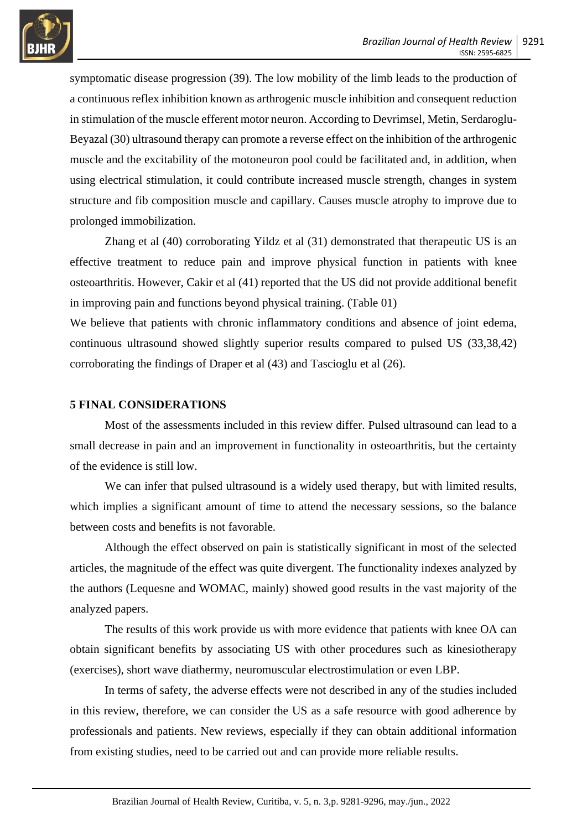

symptomatic disease progression (39). The low mobility of the limb leads to the production of a continuous reflex inhibition known as arthrogenic muscle inhibition and consequent reduction in stimulation of the muscle efferent motor neuron. According to Devrimsel, Metin, Serdaroglu-Beyazal (30) ultrasound therapy can promote a reverse effect on the inhibition of the arthrogenic muscle and the excitability of the motoneuron pool could be facilitated and, in addition, when using electrical stimulation, it could contribute increased muscle strength, changes in system structure and fib composition muscle and capillary. Causes muscle atrophy to improve due to prolonged immobilization.

Zhang et al (40) corroborating Yildz et al (31) demonstrated that therapeutic US is an effective treatment to reduce pain and improve physical function in patients with knee osteoarthritis. However, Cakir et al (41) reported that the US did not provide additional benefit in improving pain and functions beyond physical training. (Table 01)

We believe that patients with chronic inflammatory conditions and absence of joint edema, continuous ultrasound showed slightly superior results compared to pulsed US (33,38,42) corroborating the findings of Draper et al (43) and Tascioglu et al (26).

#### **5 FINAL CONSIDERATIONS**

Most of the assessments included in this review differ. Pulsed ultrasound can lead to a small decrease in pain and an improvement in functionality in osteoarthritis, but the certainty of the evidence is still low.

We can infer that pulsed ultrasound is a widely used therapy, but with limited results, which implies a significant amount of time to attend the necessary sessions, so the balance between costs and benefits is not favorable.

Although the effect observed on pain is statistically significant in most of the selected articles, the magnitude of the effect was quite divergent. The functionality indexes analyzed by the authors (Lequesne and WOMAC, mainly) showed good results in the vast majority of the analyzed papers.

The results of this work provide us with more evidence that patients with knee OA can obtain significant benefits by associating US with other procedures such as kinesiotherapy (exercises), short wave diathermy, neuromuscular electrostimulation or even LBP.

In terms of safety, the adverse effects were not described in any of the studies included in this review, therefore, we can consider the US as a safe resource with good adherence by professionals and patients. New reviews, especially if they can obtain additional information from existing studies, need to be carried out and can provide more reliable results.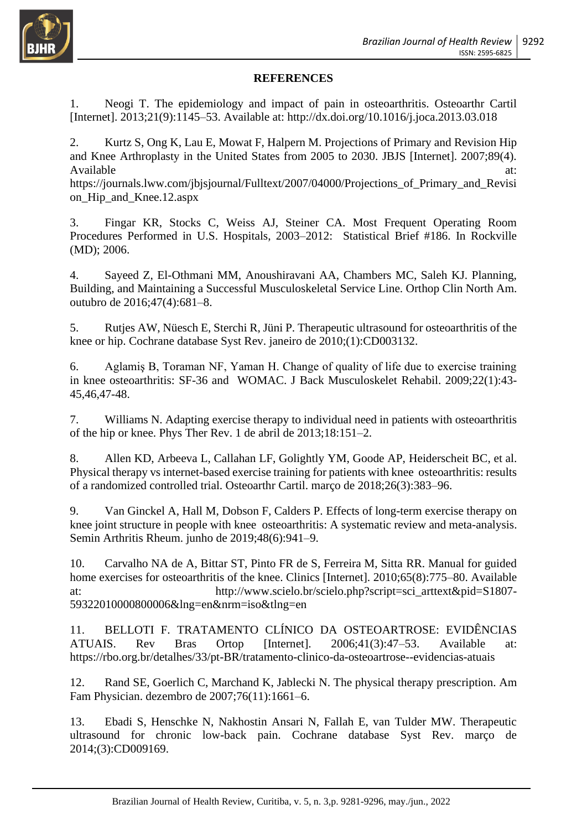

#### **REFERENCES**

1. Neogi T. The epidemiology and impact of pain in osteoarthritis. Osteoarthr Cartil [Internet]. 2013;21(9):1145–53. Available at: http://dx.doi.org/10.1016/j.joca.2013.03.018

2. Kurtz S, Ong K, Lau E, Mowat F, Halpern M. Projections of Primary and Revision Hip and Knee Arthroplasty in the United States from 2005 to 2030. JBJS [Internet]. 2007;89(4). Available at:  $\alpha$ 

https://journals.lww.com/jbjsjournal/Fulltext/2007/04000/Projections\_of\_Primary\_and\_Revisi on\_Hip\_and\_Knee.12.aspx

3. Fingar KR, Stocks C, Weiss AJ, Steiner CA. Most Frequent Operating Room Procedures Performed in U.S. Hospitals, 2003–2012: Statistical Brief #186. In Rockville (MD); 2006.

4. Sayeed Z, El-Othmani MM, Anoushiravani AA, Chambers MC, Saleh KJ. Planning, Building, and Maintaining a Successful Musculoskeletal Service Line. Orthop Clin North Am. outubro de 2016;47(4):681–8.

5. Rutjes AW, Nüesch E, Sterchi R, Jüni P. Therapeutic ultrasound for osteoarthritis of the knee or hip. Cochrane database Syst Rev. janeiro de 2010;(1):CD003132.

6. Aglamiş B, Toraman NF, Yaman H. Change of quality of life due to exercise training in knee osteoarthritis: SF-36 and WOMAC. J Back Musculoskelet Rehabil. 2009;22(1):43- 45,46,47-48.

7. Williams N. Adapting exercise therapy to individual need in patients with osteoarthritis of the hip or knee. Phys Ther Rev. 1 de abril de 2013;18:151–2.

8. Allen KD, Arbeeva L, Callahan LF, Golightly YM, Goode AP, Heiderscheit BC, et al. Physical therapy vs internet-based exercise training for patients with knee osteoarthritis: results of a randomized controlled trial. Osteoarthr Cartil. março de 2018;26(3):383–96.

9. Van Ginckel A, Hall M, Dobson F, Calders P. Effects of long-term exercise therapy on knee joint structure in people with knee osteoarthritis: A systematic review and meta-analysis. Semin Arthritis Rheum. junho de 2019;48(6):941–9.

10. Carvalho NA de A, Bittar ST, Pinto FR de S, Ferreira M, Sitta RR. Manual for guided home exercises for osteoarthritis of the knee. Clinics [Internet]. 2010:65(8):775–80. Available at: http://www.scielo.br/scielo.php?script=sci\_arttext&pid=S1807- 59322010000800006&lng=en&nrm=iso&tlng=en

11. BELLOTI F. TRATAMENTO CLÍNICO DA OSTEOARTROSE: EVIDÊNCIAS ATUAIS. Rev Bras Ortop [Internet]. 2006;41(3):47–53. Available at: https://rbo.org.br/detalhes/33/pt-BR/tratamento-clinico-da-osteoartrose--evidencias-atuais

12. Rand SE, Goerlich C, Marchand K, Jablecki N. The physical therapy prescription. Am Fam Physician. dezembro de 2007;76(11):1661–6.

13. Ebadi S, Henschke N, Nakhostin Ansari N, Fallah E, van Tulder MW. Therapeutic ultrasound for chronic low-back pain. Cochrane database Syst Rev. março de 2014;(3):CD009169.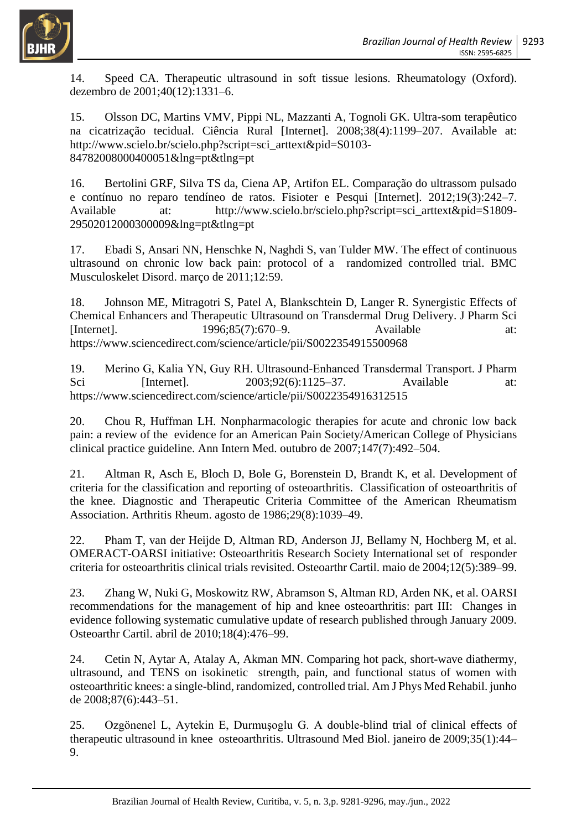

14. Speed CA. Therapeutic ultrasound in soft tissue lesions. Rheumatology (Oxford). dezembro de 2001;40(12):1331–6.

15. Olsson DC, Martins VMV, Pippi NL, Mazzanti A, Tognoli GK. Ultra-som terapêutico na cicatrização tecidual. Ciência Rural [Internet]. 2008;38(4):1199–207. Available at: http://www.scielo.br/scielo.php?script=sci\_arttext&pid=S0103- 84782008000400051&lng=pt&tlng=pt

16. Bertolini GRF, Silva TS da, Ciena AP, Artifon EL. Comparação do ultrassom pulsado e contínuo no reparo tendíneo de ratos. Fisioter e Pesqui [Internet]. 2012;19(3):242–7. Available at: http://www.scielo.br/scielo.php?script=sci\_arttext&pid=S1809-29502012000300009&lng=pt&tlng=pt

17. Ebadi S, Ansari NN, Henschke N, Naghdi S, van Tulder MW. The effect of continuous ultrasound on chronic low back pain: protocol of a randomized controlled trial. BMC Musculoskelet Disord. março de 2011;12:59.

18. Johnson ME, Mitragotri S, Patel A, Blankschtein D, Langer R. Synergistic Effects of Chemical Enhancers and Therapeutic Ultrasound on Transdermal Drug Delivery. J Pharm Sci [Internet]. 1996;85(7):670–9. Available at: https://www.sciencedirect.com/science/article/pii/S0022354915500968

19. Merino G, Kalia YN, Guy RH. Ultrasound‐Enhanced Transdermal Transport. J Pharm Sci [Internet]. 2003:92(6):1125–37. Available at: https://www.sciencedirect.com/science/article/pii/S0022354916312515

20. Chou R, Huffman LH. Nonpharmacologic therapies for acute and chronic low back pain: a review of the evidence for an American Pain Society/American College of Physicians clinical practice guideline. Ann Intern Med. outubro de 2007;147(7):492–504.

21. Altman R, Asch E, Bloch D, Bole G, Borenstein D, Brandt K, et al. Development of criteria for the classification and reporting of osteoarthritis. Classification of osteoarthritis of the knee. Diagnostic and Therapeutic Criteria Committee of the American Rheumatism Association. Arthritis Rheum. agosto de 1986;29(8):1039–49.

22. Pham T, van der Heijde D, Altman RD, Anderson JJ, Bellamy N, Hochberg M, et al. OMERACT-OARSI initiative: Osteoarthritis Research Society International set of responder criteria for osteoarthritis clinical trials revisited. Osteoarthr Cartil. maio de 2004;12(5):389–99.

23. Zhang W, Nuki G, Moskowitz RW, Abramson S, Altman RD, Arden NK, et al. OARSI recommendations for the management of hip and knee osteoarthritis: part III: Changes in evidence following systematic cumulative update of research published through January 2009. Osteoarthr Cartil. abril de 2010;18(4):476–99.

24. Cetin N, Aytar A, Atalay A, Akman MN. Comparing hot pack, short-wave diathermy, ultrasound, and TENS on isokinetic strength, pain, and functional status of women with osteoarthritic knees: a single-blind, randomized, controlled trial. Am J Phys Med Rehabil. junho de 2008;87(6):443–51.

25. Ozgönenel L, Aytekin E, Durmuşoglu G. A double-blind trial of clinical effects of therapeutic ultrasound in knee osteoarthritis. Ultrasound Med Biol. janeiro de 2009;35(1):44– 9.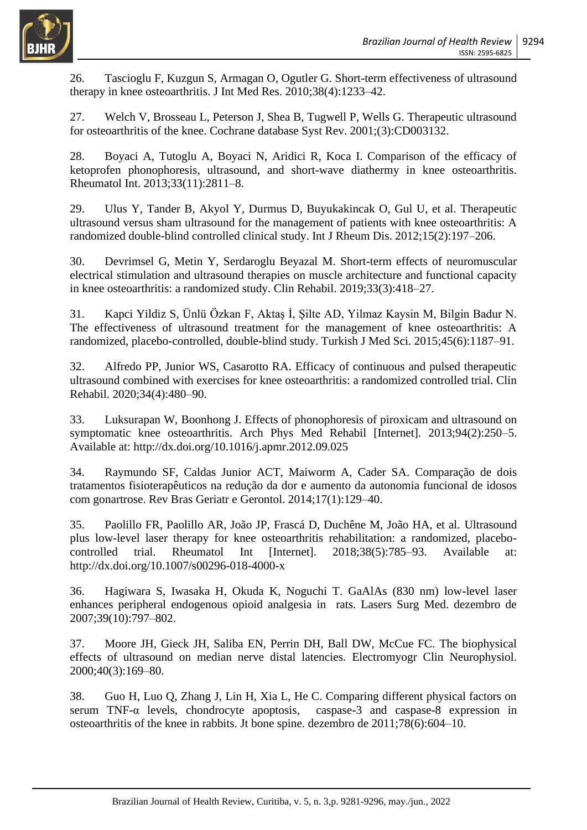

26. Tascioglu F, Kuzgun S, Armagan O, Ogutler G. Short-term effectiveness of ultrasound therapy in knee osteoarthritis. J Int Med Res. 2010;38(4):1233–42.

27. Welch V, Brosseau L, Peterson J, Shea B, Tugwell P, Wells G. Therapeutic ultrasound for osteoarthritis of the knee. Cochrane database Syst Rev. 2001;(3):CD003132.

28. Boyaci A, Tutoglu A, Boyaci N, Aridici R, Koca I. Comparison of the efficacy of ketoprofen phonophoresis, ultrasound, and short-wave diathermy in knee osteoarthritis. Rheumatol Int. 2013;33(11):2811–8.

29. Ulus Y, Tander B, Akyol Y, Durmus D, Buyukakincak O, Gul U, et al. Therapeutic ultrasound versus sham ultrasound for the management of patients with knee osteoarthritis: A randomized double-blind controlled clinical study. Int J Rheum Dis. 2012;15(2):197–206.

30. Devrimsel G, Metin Y, Serdaroglu Beyazal M. Short-term effects of neuromuscular electrical stimulation and ultrasound therapies on muscle architecture and functional capacity in knee osteoarthritis: a randomized study. Clin Rehabil. 2019;33(3):418–27.

31. Kapci Yildiz S, Ünlü Özkan F, Aktaş İ, Şilte AD, Yilmaz Kaysin M, Bilgin Badur N. The effectiveness of ultrasound treatment for the management of knee osteoarthritis: A randomized, placebo-controlled, double-blind study. Turkish J Med Sci. 2015;45(6):1187–91.

32. Alfredo PP, Junior WS, Casarotto RA. Efficacy of continuous and pulsed therapeutic ultrasound combined with exercises for knee osteoarthritis: a randomized controlled trial. Clin Rehabil. 2020;34(4):480–90.

33. Luksurapan W, Boonhong J. Effects of phonophoresis of piroxicam and ultrasound on symptomatic knee osteoarthritis. Arch Phys Med Rehabil [Internet]. 2013;94(2):250–5. Available at: http://dx.doi.org/10.1016/j.apmr.2012.09.025

34. Raymundo SF, Caldas Junior ACT, Maiworm A, Cader SA. Comparação de dois tratamentos fisioterapêuticos na redução da dor e aumento da autonomia funcional de idosos com gonartrose. Rev Bras Geriatr e Gerontol. 2014;17(1):129–40.

35. Paolillo FR, Paolillo AR, João JP, Frascá D, Duchêne M, João HA, et al. Ultrasound plus low-level laser therapy for knee osteoarthritis rehabilitation: a randomized, placebocontrolled trial. Rheumatol Int [Internet]. 2018;38(5):785–93. Available at: http://dx.doi.org/10.1007/s00296-018-4000-x

36. Hagiwara S, Iwasaka H, Okuda K, Noguchi T. GaAlAs (830 nm) low-level laser enhances peripheral endogenous opioid analgesia in rats. Lasers Surg Med. dezembro de 2007;39(10):797–802.

37. Moore JH, Gieck JH, Saliba EN, Perrin DH, Ball DW, McCue FC. The biophysical effects of ultrasound on median nerve distal latencies. Electromyogr Clin Neurophysiol. 2000;40(3):169–80.

38. Guo H, Luo Q, Zhang J, Lin H, Xia L, He C. Comparing different physical factors on serum TNF-α levels, chondrocyte apoptosis, caspase-3 and caspase-8 expression in osteoarthritis of the knee in rabbits. Jt bone spine. dezembro de 2011;78(6):604–10.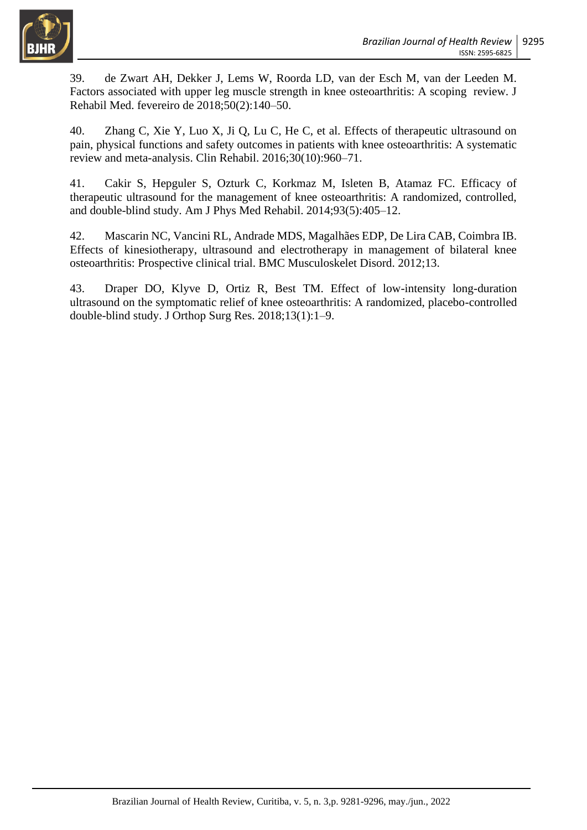

39. de Zwart AH, Dekker J, Lems W, Roorda LD, van der Esch M, van der Leeden M. Factors associated with upper leg muscle strength in knee osteoarthritis: A scoping review. J Rehabil Med. fevereiro de 2018;50(2):140–50.

40. Zhang C, Xie Y, Luo X, Ji Q, Lu C, He C, et al. Effects of therapeutic ultrasound on pain, physical functions and safety outcomes in patients with knee osteoarthritis: A systematic review and meta-analysis. Clin Rehabil. 2016;30(10):960–71.

41. Cakir S, Hepguler S, Ozturk C, Korkmaz M, Isleten B, Atamaz FC. Efficacy of therapeutic ultrasound for the management of knee osteoarthritis: A randomized, controlled, and double-blind study. Am J Phys Med Rehabil. 2014;93(5):405–12.

42. Mascarin NC, Vancini RL, Andrade MDS, Magalhães EDP, De Lira CAB, Coimbra IB. Effects of kinesiotherapy, ultrasound and electrotherapy in management of bilateral knee osteoarthritis: Prospective clinical trial. BMC Musculoskelet Disord. 2012;13.

43. Draper DO, Klyve D, Ortiz R, Best TM. Effect of low-intensity long-duration ultrasound on the symptomatic relief of knee osteoarthritis: A randomized, placebo-controlled double-blind study. J Orthop Surg Res. 2018;13(1):1–9.